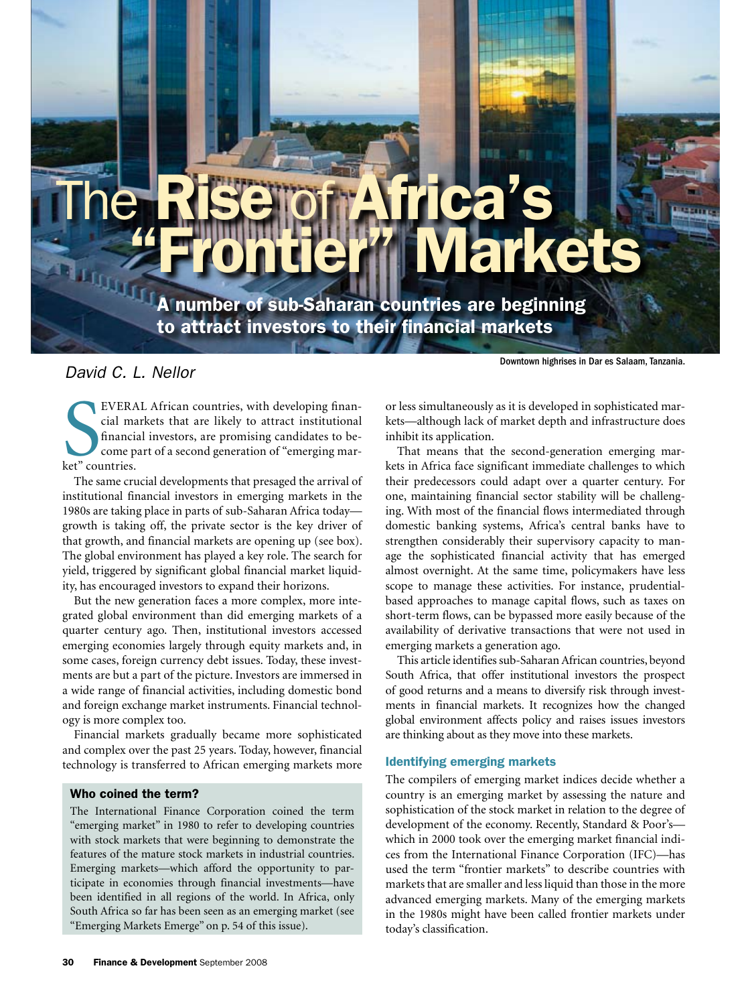# The Rise of Africa's Us

A number of sub-Saharan countries are beginning to attract investors to their financial markets

# *David C. L. Nellor*

EVERA<br>
cial ma<br>
financi<br>
come p<br>
ket" countries. EVERAL African countries, with developing financial markets that are likely to attract institutional financial investors, are promising candidates to become part of a second generation of "emerging mar-

The same crucial developments that presaged the arrival of institutional financial investors in emerging markets in the 1980s are taking place in parts of sub-Saharan Africa today growth is taking off, the private sector is the key driver of that growth, and financial markets are opening up (see box). The global environment has played a key role. The search for yield, triggered by significant global financial market liquidity, has encouraged investors to expand their horizons.

But the new generation faces a more complex, more integrated global environment than did emerging markets of a quarter century ago. Then, institutional investors accessed emerging economies largely through equity markets and, in some cases, foreign currency debt issues. Today, these investments are but a part of the picture. Investors are immersed in a wide range of financial activities, including domestic bond and foreign exchange market instruments. Financial technology is more complex too.

Financial markets gradually became more sophisticated and complex over the past 25 years. Today, however, financial technology is transferred to African emerging markets more

### Who coined the term?

The International Finance Corporation coined the term "emerging market" in 1980 to refer to developing countries with stock markets that were beginning to demonstrate the features of the mature stock markets in industrial countries. Emerging markets—which afford the opportunity to participate in economies through financial investments—have been identified in all regions of the world. In Africa, only South Africa so far has been seen as an emerging market (see "Emerging Markets Emerge" on p. 54 of this issue).

Downtown highrises in Dar es Salaam, Tanzania.

or less simultaneously as it is developed in sophisticated markets—although lack of market depth and infrastructure does inhibit its application.

That means that the second-generation emerging markets in Africa face significant immediate challenges to which their predecessors could adapt over a quarter century. For one, maintaining financial sector stability will be challenging. With most of the financial flows intermediated through domestic banking systems, Africa's central banks have to strengthen considerably their supervisory capacity to manage the sophisticated financial activity that has emerged almost overnight. At the same time, policymakers have less scope to manage these activities. For instance, prudentialbased approaches to manage capital flows, such as taxes on short-term flows, can be bypassed more easily because of the availability of derivative transactions that were not used in emerging markets a generation ago.

This article identifies sub-Saharan African countries, beyond South Africa, that offer institutional investors the prospect of good returns and a means to diversify risk through investments in financial markets. It recognizes how the changed global environment affects policy and raises issues investors are thinking about as they move into these markets.

# Identifying emerging markets

The compilers of emerging market indices decide whether a country is an emerging market by assessing the nature and sophistication of the stock market in relation to the degree of development of the economy. Recently, Standard & Poor's which in 2000 took over the emerging market financial indices from the International Finance Corporation (IFC)—has used the term "frontier markets" to describe countries with markets that are smaller and less liquid than those in the more advanced emerging markets. Many of the emerging markets in the 1980s might have been called frontier markets under today's classification.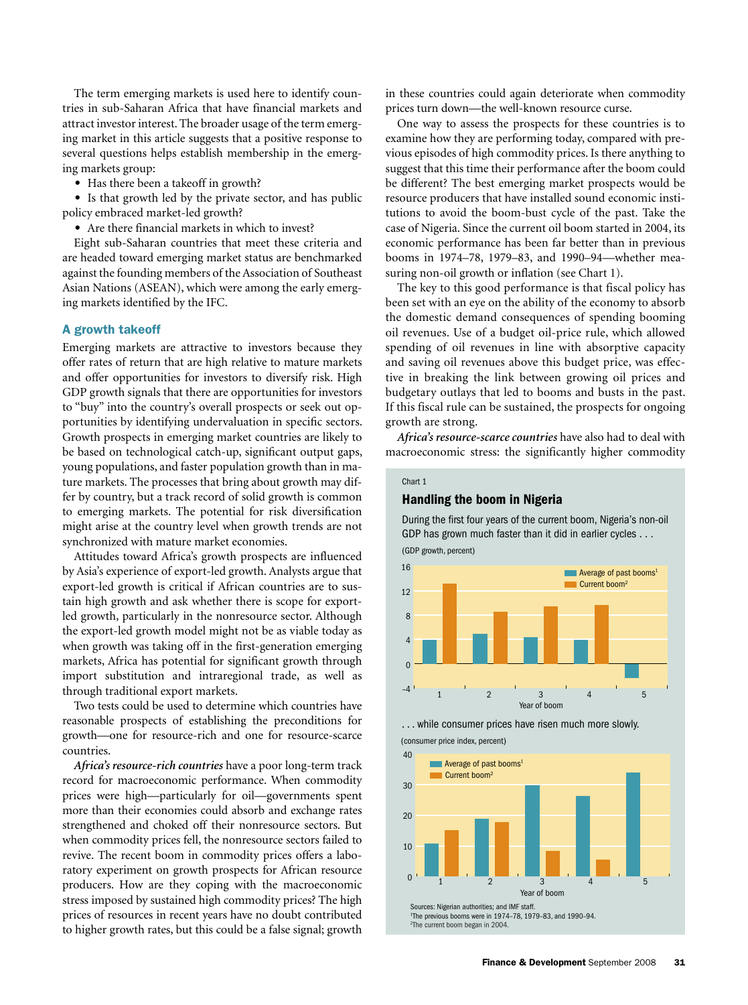The term emerging markets is used here to identify countries in sub-Saharan Africa that have financial markets and attract investor interest. The broader usage of the term emerging market in this article suggests that a positive response to several questions helps establish membership in the emerging markets group:

• Has there been a takeoff in growth?

• Is that growth led by the private sector, and has public policy embraced market-led growth?

• Are there financial markets in which to invest?

Eight sub-Saharan countries that meet these criteria and are headed toward emerging market status are benchmarked against the founding members of the Association of Southeast Asian Nations (ASEAN), which were among the early emerging markets identified by the IFC.

# A growth takeoff

Emerging markets are attractive to investors because they offer rates of return that are high relative to mature markets and offer opportunities for investors to diversify risk. High GDP growth signals that there are opportunities for investors to "buy" into the country's overall prospects or seek out opportunities by identifying undervaluation in specific sectors. Growth prospects in emerging market countries are likely to be based on technological catch-up, significant output gaps, young populations, and faster population growth than in mature markets. The processes that bring about growth may differ by country, but a track record of solid growth is common to emerging markets. The potential for risk diversification might arise at the country level when growth trends are not synchronized with mature market economies.

Attitudes toward Africa's growth prospects are influenced by Asia's experience of export-led growth. Analysts argue that export-led growth is critical if African countries are to sustain high growth and ask whether there is scope for exportled growth, particularly in the nonresource sector. Although the export-led growth model might not be as viable today as when growth was taking off in the first-generation emerging markets, Africa has potential for significant growth through import substitution and intraregional trade, as well as through traditional export markets.

Two tests could be used to determine which countries have reasonable prospects of establishing the preconditions for growth—one for resource-rich and one for resource-scarce countries.

*Africa's resource-rich countries* have a poor long-term track record for macroeconomic performance. When commodity prices were high—particularly for oil—governments spent more than their economies could absorb and exchange rates strengthened and choked off their nonresource sectors. But when commodity prices fell, the nonresource sectors failed to revive. The recent boom in commodity prices offers a laboratory experiment on growth prospects for African resource producers. How are they coping with the macroeconomic stress imposed by sustained high commodity prices? The high prices of resources in recent years have no doubt contributed to higher growth rates, but this could be a false signal; growth

in these countries could again deteriorate when commodity prices turn down—the well-known resource curse.

One way to assess the prospects for these countries is to examine how they are performing today, compared with previous episodes of high commodity prices. Is there anything to suggest that this time their performance after the boom could be different? The best emerging market prospects would be resource producers that have installed sound economic institutions to avoid the boom-bust cycle of the past. Take the case of Nigeria. Since the current oil boom started in 2004, its economic performance has been far better than in previous booms in 1974–78, 1979–83, and 1990–94—whether measuring non-oil growth or inflation (see Chart 1).

The key to this good performance is that fiscal policy has been set with an eye on the ability of the economy to absorb the domestic demand consequences of spending booming oil revenues. Use of a budget oil-price rule, which allowed spending of oil revenues in line with absorptive capacity and saving oil revenues above this budget price, was effective in breaking the link between growing oil prices and budgetary outlays that led to booms and busts in the past. If this fiscal rule can be sustained, the prospects for ongoing growth are strong.  $P$ 

*Africa's resource-scarce countries* have also had to deal with macroeconomic stress: the significantly higher commodity

#### Chart 1

(GDP growth, percent)

#### Handling the boom in Nigeria

During the first four years of the current boom, Nigeria's non-oil GDP has grown much faster than it did in earlier cycles . . .





(consumer price index, percent)

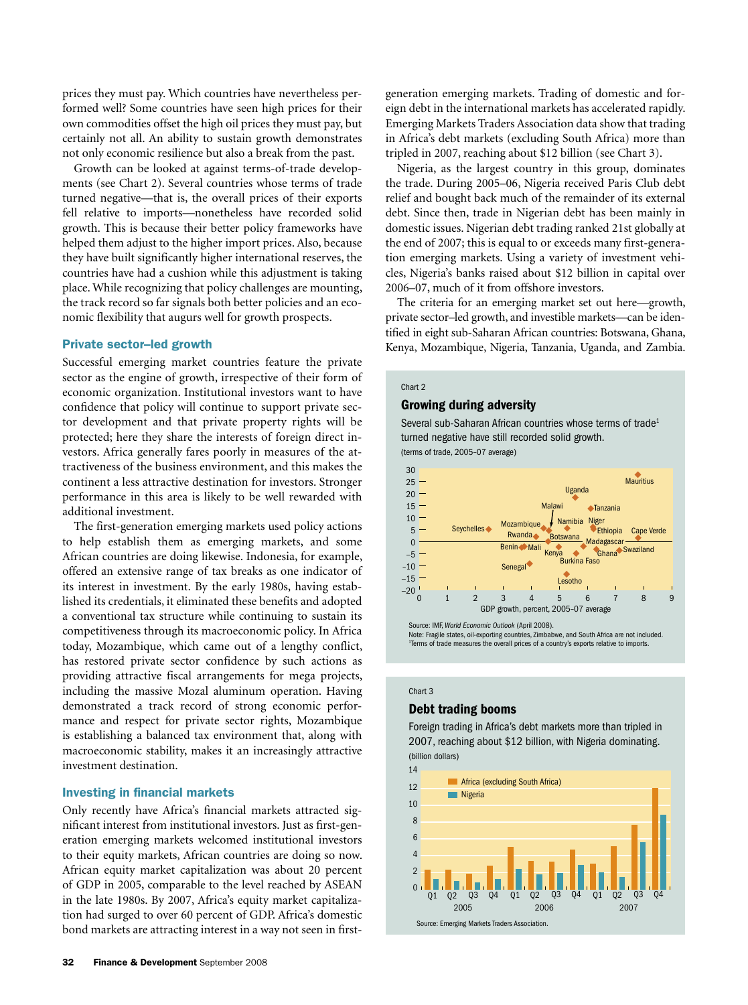prices they must pay. Which countries have nevertheless performed well? Some countries have seen high prices for their own commodities offset the high oil prices they must pay, but certainly not all. An ability to sustain growth demonstrates not only economic resilience but also a break from the past.

Growth can be looked at against terms-of-trade developments (see Chart 2). Several countries whose terms of trade turned negative—that is, the overall prices of their exports fell relative to imports—nonetheless have recorded solid growth. This is because their better policy frameworks have helped them adjust to the higher import prices. Also, because they have built significantly higher international reserves, the countries have had a cushion while this adjustment is taking place. While recognizing that policy challenges are mounting, the track record so far signals both better policies and an economic flexibility that augurs well for growth prospects.

#### Private sector–led growth

Successful emerging market countries feature the private sector as the engine of growth, irrespective of their form of economic organization. Institutional investors want to have confidence that policy will continue to support private sector development and that private property rights will be protected; here they share the interests of foreign direct investors. Africa generally fares poorly in measures of the attractiveness of the business environment, and this makes the continent a less attractive destination for investors. Stronger performance in this area is likely to be well rewarded with additional investment.

The first-generation emerging markets used policy actions to help establish them as emerging markets, and some African countries are doing likewise. Indonesia, for example, offered an extensive range of tax breaks as one indicator of its interest in investment. By the early 1980s, having established its credentials, it eliminated these benefits and adopted a conventional tax structure while continuing to sustain its competitiveness through its macroeconomic policy. In Africa today, Mozambique, which came out of a lengthy conflict, has restored private sector confidence by such actions as providing attractive fiscal arrangements for mega projects, including the massive Mozal aluminum operation. Having demonstrated a track record of strong economic performance and respect for private sector rights, Mozambique is establishing a balanced tax environment that, along with macroeconomic stability, makes it an increasingly attractive investment destination.

### Investing in financial markets

Only recently have Africa's financial markets attracted significant interest from institutional investors. Just as first-generation emerging markets welcomed institutional investors to their equity markets, African countries are doing so now. African equity market capitalization was about 20 percent of GDP in 2005, comparable to the level reached by ASEAN in the late 1980s. By 2007, Africa's equity market capitalization had surged to over 60 percent of GDP. Africa's domestic bond markets are attracting interest in a way not seen in firstgeneration emerging markets. Trading of domestic and foreign debt in the international markets has accelerated rapidly. Emerging Markets Traders Association data show that trading in Africa's debt markets (excluding South Africa) more than tripled in 2007, reaching about \$12 billion (see Chart 3).

Nigeria, as the largest country in this group, dominates the trade. During 2005–06, Nigeria received Paris Club debt relief and bought back much of the remainder of its external debt. Since then, trade in Nigerian debt has been mainly in domestic issues. Nigerian debt trading ranked 21st globally at the end of 2007; this is equal to or exceeds many first-generation emerging markets. Using a variety of investment vehicles, Nigeria's banks raised about \$12 billion in capital over 2006–07, much of it from offshore investors.

The criteria for an emerging market set out here-growth, private sector-led growth, and investible markets-can be identified in eight sub-Saharan African countries: Botswana, Ghana, Kenya, Mozambique, Nigeria, Tanzania, Uganda, and Zambia.

#### Chart 2

### Growing during adversity

Several sub-Saharan African countries whose terms of trade<sup>1</sup> turned negative have still recorded solid growth. (terms of trade, 2005–07 average)





Source: IMF, *World Economic Outlook* (April 2008). Note: Fragile states, oil-exporting countries, Zimbabwe, and South Africa are not included. 1 Terms of trade measures the overall prices of a country's exports relative to imports.

#### Chart 3

# Debt trading booms

Foreign trading in Africa's debt markets more than tripled in 2007, reaching about \$12 billion, with Nigeria dominating. (billion dollars)